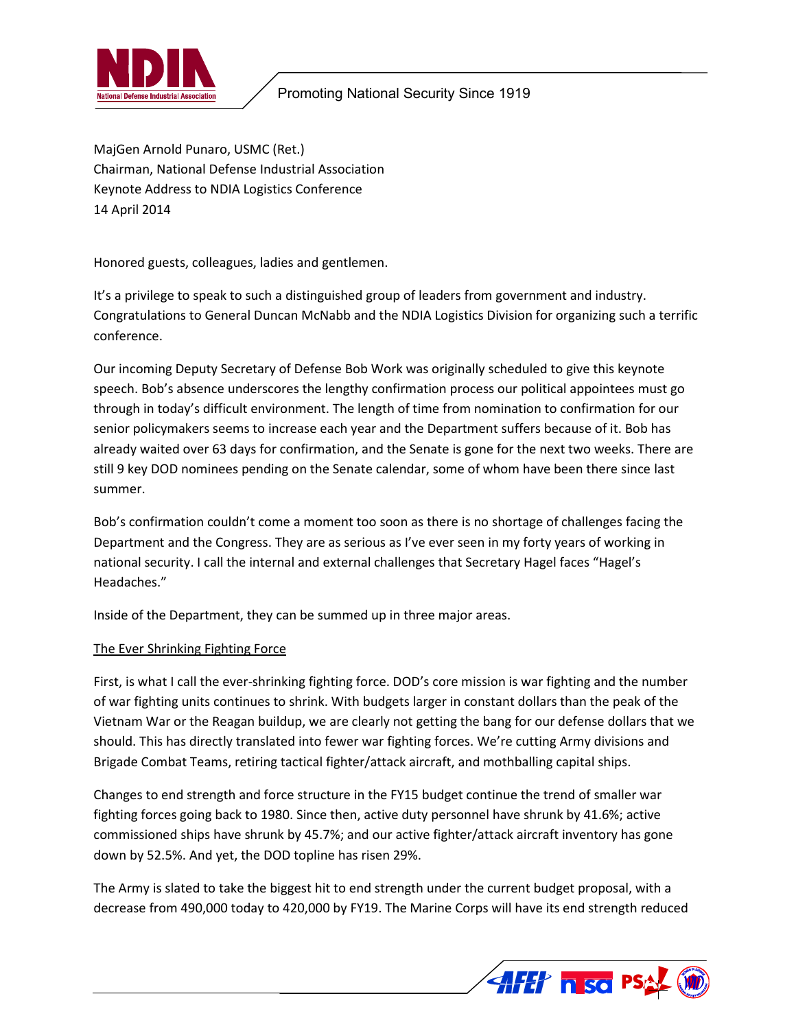

# Promoting National Security Since 1919

MajGen Arnold Punaro, USMC (Ret.) Chairman, National Defense Industrial Association Keynote Address to NDIA Logistics Conference 14 April 2014

Honored guests, colleagues, ladies and gentlemen.

It's a privilege to speak to such a distinguished group of leaders from government and industry. Congratulations to General Duncan McNabb and the NDIA Logistics Division for organizing such a terrific conference.

Our incoming Deputy Secretary of Defense Bob Work was originally scheduled to give this keynote speech. Bob's absence underscores the lengthy confirmation process our political appointees must go through in today's difficult environment. The length of time from nomination to confirmation for our senior policymakers seems to increase each year and the Department suffers because of it. Bob has already waited over 63 days for confirmation, and the Senate is gone for the next two weeks. There are still 9 key DOD nominees pending on the Senate calendar, some of whom have been there since last summer.

Bob's confirmation couldn't come a moment too soon as there is no shortage of challenges facing the Department and the Congress. They are as serious as I've ever seen in my forty years of working in national security. I call the internal and external challenges that Secretary Hagel faces "Hagel's Headaches."

Inside of the Department, they can be summed up in three major areas.

#### The Ever Shrinking Fighting Force

First, is what I call the ever-shrinking fighting force. DOD's core mission is war fighting and the number of war fighting units continues to shrink. With budgets larger in constant dollars than the peak of the Vietnam War or the Reagan buildup, we are clearly not getting the bang for our defense dollars that we should. This has directly translated into fewer war fighting forces. We're cutting Army divisions and Brigade Combat Teams, retiring tactical fighter/attack aircraft, and mothballing capital ships.

Changes to end strength and force structure in the FY15 budget continue the trend of smaller war fighting forces going back to 1980. Since then, active duty personnel have shrunk by 41.6%; active commissioned ships have shrunk by 45.7%; and our active fighter/attack aircraft inventory has gone down by 52.5%. And yet, the DOD topline has risen 29%.

The Army is slated to take the biggest hit to end strength under the current budget proposal, with a decrease from 490,000 today to 420,000 by FY19. The Marine Corps will have its end strength reduced

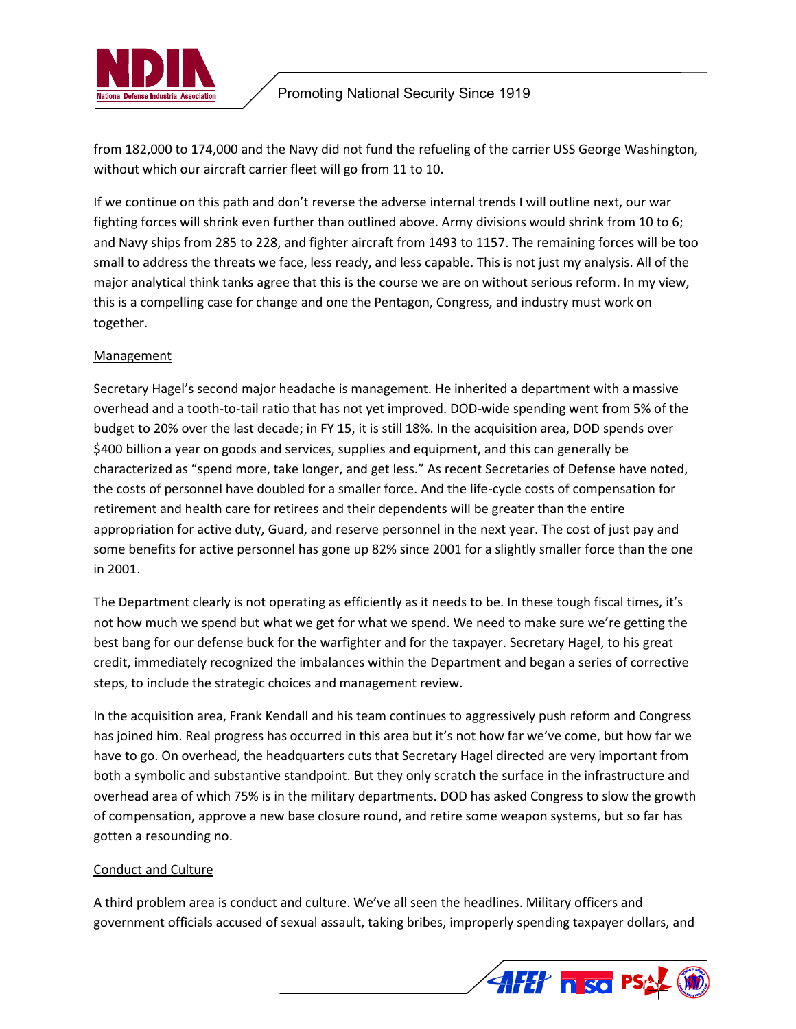

from 182,000 to 174,000 and the Navy did not fund the refueling of the carrier USS George Washington, without which our aircraft carrier fleet will go from 11 to 10.

If we continue on this path and don't reverse the adverse internal trends I will outline next, our war fighting forces will shrink even further than outlined above. Army divisions would shrink from 10 to 6; and Navy ships from 285 to 228, and fighter aircraft from 1493 to 1157. The remaining forces will be too small to address the threats we face, less ready, and less capable. This is not just my analysis. All of the major analytical think tanks agree that this is the course we are on without serious reform. In my view, this is a compelling case for change and one the Pentagon, Congress, and industry must work on together.

### **Management**

Secretary Hagel's second major headache is management. He inherited a department with a massive overhead and a tooth-to-tail ratio that has not yet improved. DOD-wide spending went from 5% of the budget to 20% over the last decade; in FY 15, it is still 18%. In the acquisition area, DOD spends over \$400 billion a year on goods and services, supplies and equipment, and this can generally be characterized as "spend more, take longer, and get less." As recent Secretaries of Defense have noted, the costs of personnel have doubled for a smaller force. And the life-cycle costs of compensation for retirement and health care for retirees and their dependents will be greater than the entire appropriation for active duty, Guard, and reserve personnel in the next year. The cost of just pay and some benefits for active personnel has gone up 82% since 2001 for a slightly smaller force than the one in 2001.

The Department clearly is not operating as efficiently as it needs to be. In these tough fiscal times, it's not how much we spend but what we get for what we spend. We need to make sure we're getting the best bang for our defense buck for the warfighter and for the taxpayer. Secretary Hagel, to his great credit, immediately recognized the imbalances within the Department and began a series of corrective steps, to include the strategic choices and management review.

In the acquisition area, Frank Kendall and his team continues to aggressively push reform and Congress has joined him. Real progress has occurred in this area but it's not how far we've come, but how far we have to go. On overhead, the headquarters cuts that Secretary Hagel directed are very important from both a symbolic and substantive standpoint. But they only scratch the surface in the infrastructure and overhead area of which 75% is in the military departments. DOD has asked Congress to slow the growth of compensation, approve a new base closure round, and retire some weapon systems, but so far has gotten a resounding no.

### Conduct and Culture

A third problem area is conduct and culture. We've all seen the headlines. Military officers and government officials accused of sexual assault, taking bribes, improperly spending taxpayer dollars, and

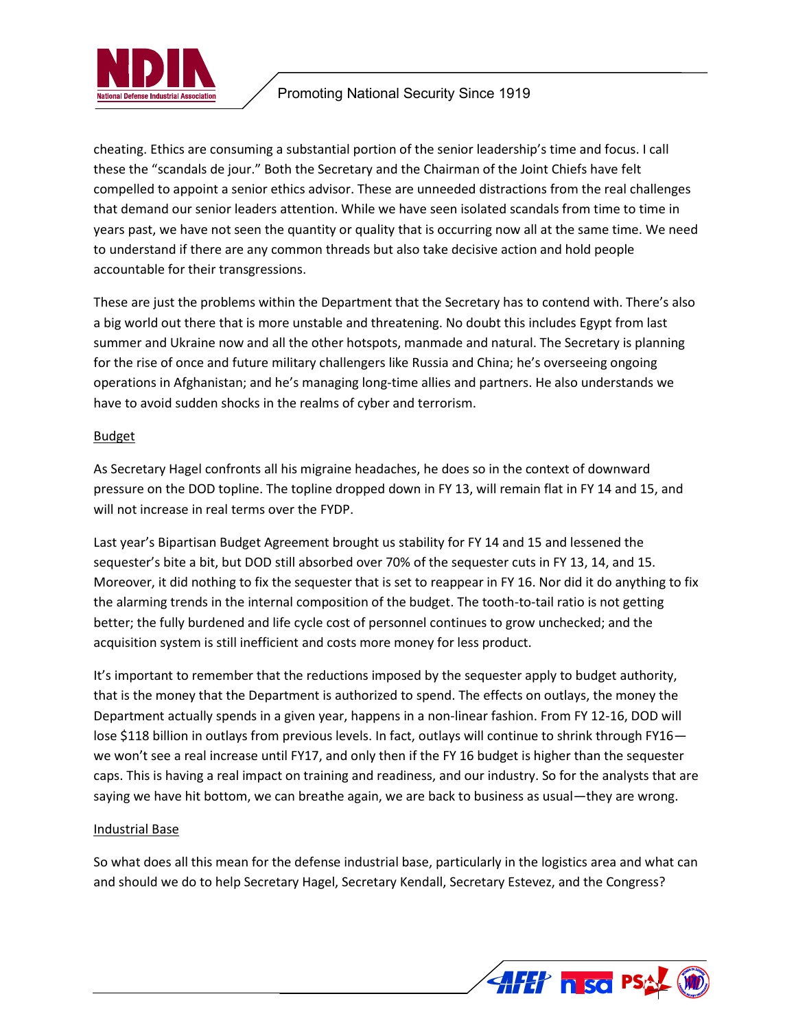

cheating. Ethics are consuming a substantial portion of the senior leadership's time and focus. I call these the "scandals de jour." Both the Secretary and the Chairman of the Joint Chiefs have felt compelled to appoint a senior ethics advisor. These are unneeded distractions from the real challenges that demand our senior leaders attention. While we have seen isolated scandals from time to time in years past, we have not seen the quantity or quality that is occurring now all at the same time. We need to understand if there are any common threads but also take decisive action and hold people accountable for their transgressions.

These are just the problems within the Department that the Secretary has to contend with. There's also a big world out there that is more unstable and threatening. No doubt this includes Egypt from last summer and Ukraine now and all the other hotspots, manmade and natural. The Secretary is planning for the rise of once and future military challengers like Russia and China; he's overseeing ongoing operations in Afghanistan; and he's managing long-time allies and partners. He also understands we have to avoid sudden shocks in the realms of cyber and terrorism.

### Budget

As Secretary Hagel confronts all his migraine headaches, he does so in the context of downward pressure on the DOD topline. The topline dropped down in FY 13, will remain flat in FY 14 and 15, and will not increase in real terms over the FYDP.

Last year's Bipartisan Budget Agreement brought us stability for FY 14 and 15 and lessened the sequester's bite a bit, but DOD still absorbed over 70% of the sequester cuts in FY 13, 14, and 15. Moreover, it did nothing to fix the sequester that is set to reappear in FY 16. Nor did it do anything to fix the alarming trends in the internal composition of the budget. The tooth-to-tail ratio is not getting better; the fully burdened and life cycle cost of personnel continues to grow unchecked; and the acquisition system is still inefficient and costs more money for less product.

It's important to remember that the reductions imposed by the sequester apply to budget authority, that is the money that the Department is authorized to spend. The effects on outlays, the money the Department actually spends in a given year, happens in a non-linear fashion. From FY 12-16, DOD will lose \$118 billion in outlays from previous levels. In fact, outlays will continue to shrink through FY16we won't see a real increase until FY17, and only then if the FY 16 budget is higher than the sequester caps. This is having a real impact on training and readiness, and our industry. So for the analysts that are saying we have hit bottom, we can breathe again, we are back to business as usual—they are wrong.

### Industrial Base

So what does all this mean for the defense industrial base, particularly in the logistics area and what can and should we do to help Secretary Hagel, Secretary Kendall, Secretary Estevez, and the Congress?

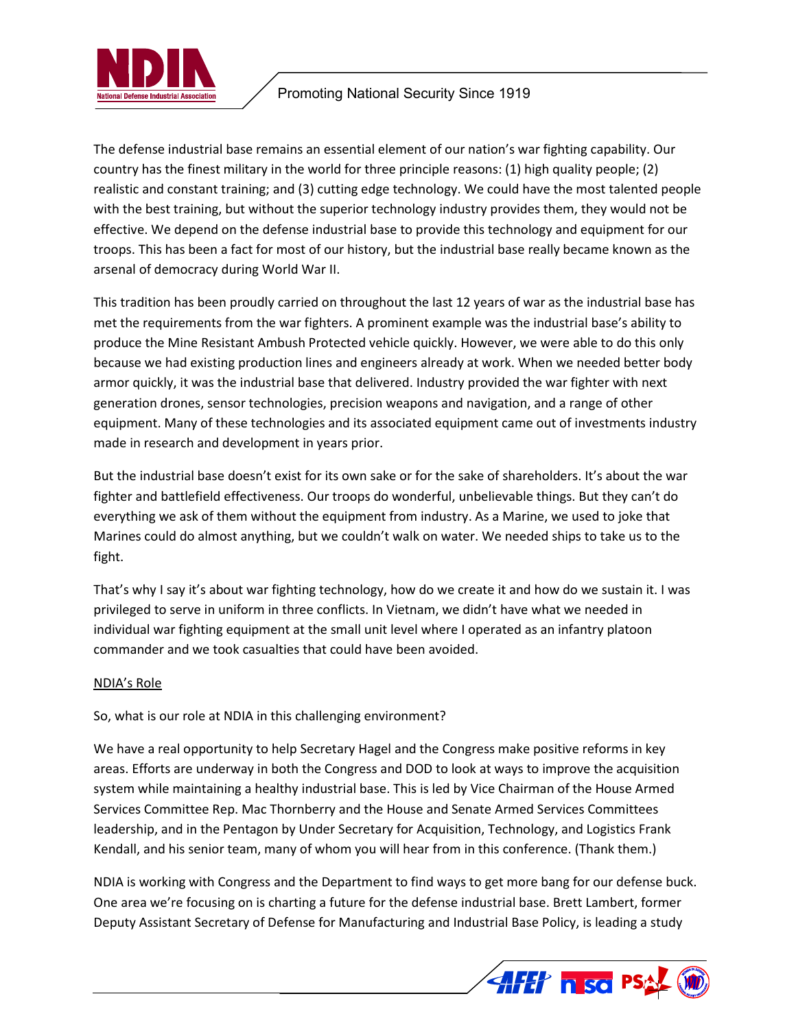

## Promoting National Security Since 1919

The defense industrial base remains an essential element of our nation's war fighting capability. Our country has the finest military in the world for three principle reasons: (1) high quality people; (2) realistic and constant training; and (3) cutting edge technology. We could have the most talented people with the best training, but without the superior technology industry provides them, they would not be effective. We depend on the defense industrial base to provide this technology and equipment for our troops. This has been a fact for most of our history, but the industrial base really became known as the arsenal of democracy during World War II.

This tradition has been proudly carried on throughout the last 12 years of war as the industrial base has met the requirements from the war fighters. A prominent example was the industrial base's ability to produce the Mine Resistant Ambush Protected vehicle quickly. However, we were able to do this only because we had existing production lines and engineers already at work. When we needed better body armor quickly, it was the industrial base that delivered. Industry provided the war fighter with next generation drones, sensor technologies, precision weapons and navigation, and a range of other equipment. Many of these technologies and its associated equipment came out of investments industry made in research and development in years prior.

But the industrial base doesn't exist for its own sake or for the sake of shareholders. It's about the war fighter and battlefield effectiveness. Our troops do wonderful, unbelievable things. But they can't do everything we ask of them without the equipment from industry. As a Marine, we used to joke that Marines could do almost anything, but we couldn't walk on water. We needed ships to take us to the fight.

That's why I say it's about war fighting technology, how do we create it and how do we sustain it. I was privileged to serve in uniform in three conflicts. In Vietnam, we didn't have what we needed in individual war fighting equipment at the small unit level where I operated as an infantry platoon commander and we took casualties that could have been avoided.

### NDIA's Role

So, what is our role at NDIA in this challenging environment?

We have a real opportunity to help Secretary Hagel and the Congress make positive reforms in key areas. Efforts are underway in both the Congress and DOD to look at ways to improve the acquisition system while maintaining a healthy industrial base. This is led by Vice Chairman of the House Armed Services Committee Rep. Mac Thornberry and the House and Senate Armed Services Committees leadership, and in the Pentagon by Under Secretary for Acquisition, Technology, and Logistics Frank Kendall, and his senior team, many of whom you will hear from in this conference. (Thank them.)

NDIA is working with Congress and the Department to find ways to get more bang for our defense buck. One area we're focusing on is charting a future for the defense industrial base. Brett Lambert, former Deputy Assistant Secretary of Defense for Manufacturing and Industrial Base Policy, is leading a study